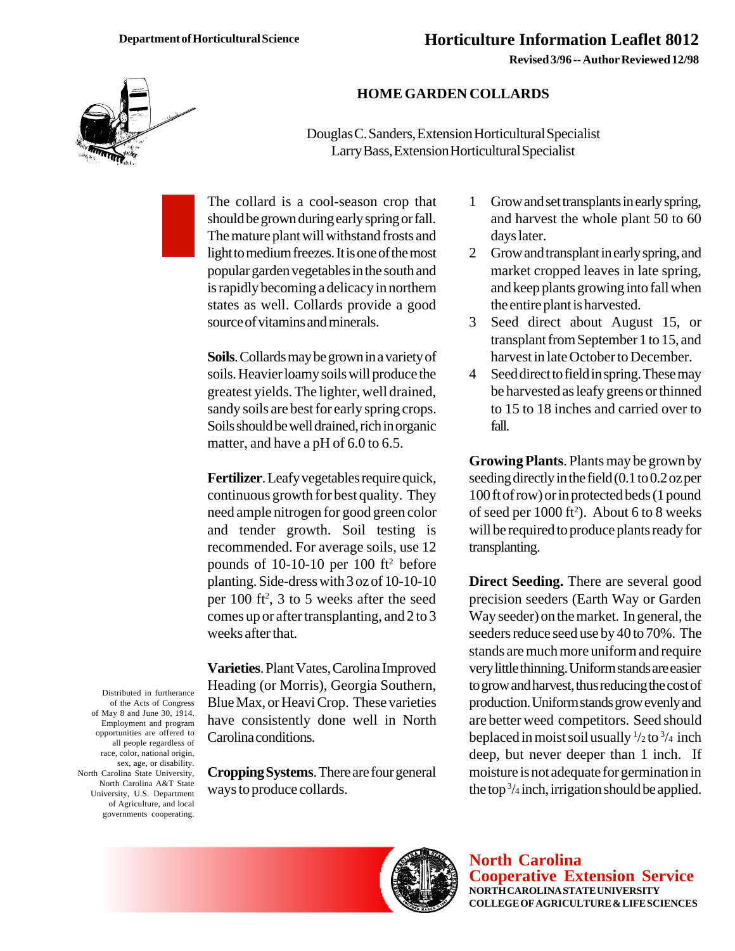**Revised 3/96 -- Author Reviewed 12/98**



## **HOME GARDEN COLLARDS**

Douglas C. Sanders, Extension Horticultural Specialist Larry Bass, Extension Horticultural Specialist

The collard is a cool-season crop that should be grown during early spring or fall. The mature plant will withstand frosts and light to medium freezes. It is one of the most popular garden vegetables in the south and is rapidly becoming a delicacy in northern states as well. Collards provide a good source of vitamins and minerals.

**Soils**. Collards may be grown in a variety of soils. Heavier loamy soils will produce the greatest yields. The lighter, well drained, sandy soils are best for early spring crops. Soils should be well drained, rich in organic matter, and have a pH of 6.0 to 6.5.

**Fertilizer**. Leafy vegetables require quick, continuous growth for best quality. They need ample nitrogen for good green color and tender growth. Soil testing is recommended. For average soils, use 12 pounds of 10-10-10 per 100 ft2before planting. Side-dress with 3 oz of 10-10-10 per  $100$  ft<sup>2</sup>, 3 to 5 weeks after the seed comes up or after transplanting, and 2 to 3 weeks after that.

**Varieties**. Plant Vates, Carolina Improved Heading (or Morris), Georgia Southern, Blue Max, or Heavi Crop. These varieties have consistently done well in North Carolina conditions.

**Cropping Systems**. There are four general ways to produce collards.

- 1 Grow and set transplants in early spring, and harvest the whole plant 50 to 60 days later.
- 2 Grow and transplant in early spring, and market cropped leaves in late spring, and keep plants growing into fall when the entire plant is harvested.
- 3 Seed direct about August 15, or transplant from September 1 to 15, and harvest in late October to December.
- 4 Seed direct to field in spring. These may be harvested as leafy greens or thinned to 15 to 18 inches and carried over to fall.

**Growing Plants**. Plants may be grown by seeding directly in the field (0.1 to 0.2 oz per 100 ft of row) or in protected beds (1 pound of seed per  $1000$  ft<sup>2</sup>). About 6 to 8 weeks will be required to produce plants ready for transplanting.

**Direct Seeding.** There are several good precision seeders (Earth Way or Garden Way seeder) on the market. In general, the seeders reduce seed use by 40 to 70%. The stands are much more uniform and require very little thinning. Uniform stands are easier to grow and harvest, thus reducing the cost of production. Uniform stands grow evenly and are better weed competitors. Seed should beplaced in moist soil usually  $\frac{1}{2}$  to  $\frac{3}{4}$  inch deep, but never deeper than 1 inch. If moisture is not adequate for germination in the top 3 /4 inch, irrigation should be applied.

of the Acts of Congress of May 8 and June 30, 1914. Employment and program opportunities are offered to all people regardless of race, color, national origin, sex, age, or disability. North Carolina State University, North Carolina A&T State University, U.S. Department of Agriculture, and local governments cooperating.

Distributed in furtherance



**North Carolina Cooperative Extension Service NORTH CAROLINA STATE UNIVERSITY COLLEGE OF AGRICULTURE & LIFE SCIENCES**